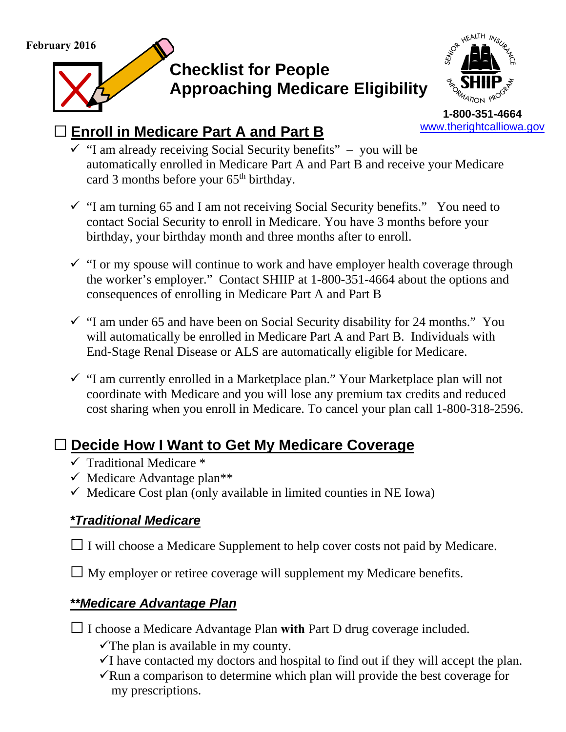**February 2016** 

# **Checklist for People Approaching Medicare Eligibility**



**1-800-351-4664**  www.therightcalliowa.gov

### **□ Enroll in Medicare Part A and Part B**

- $\checkmark$  "I am already receiving Social Security benefits" you will be automatically enrolled in Medicare Part A and Part B and receive your Medicare card 3 months before your 65<sup>th</sup> birthday.
- $\checkmark$  "I am turning 65 and I am not receiving Social Security benefits." You need to contact Social Security to enroll in Medicare. You have 3 months before your birthday, your birthday month and three months after to enroll.
- $\checkmark$  "I or my spouse will continue to work and have employer health coverage through the worker's employer." Contact SHIIP at 1-800-351-4664 about the options and consequences of enrolling in Medicare Part A and Part B
- $\checkmark$  "I am under 65 and have been on Social Security disability for 24 months." You will automatically be enrolled in Medicare Part A and Part B. Individuals with End-Stage Renal Disease or ALS are automatically eligible for Medicare.
- $\checkmark$  "I am currently enrolled in a Marketplace plan." Your Marketplace plan will not coordinate with Medicare and you will lose any premium tax credits and reduced cost sharing when you enroll in Medicare. To cancel your plan call 1-800-318-2596.

## **□ Decide How I Want to Get My Medicare Coverage**

- $\checkmark$  Traditional Medicare  $*$
- $\checkmark$  Medicare Advantage plan<sup>\*\*</sup>
- $\checkmark$  Medicare Cost plan (only available in limited counties in NE Iowa)

### *\*Traditional Medicare*

□ I will choose a Medicare Supplement to help cover costs not paid by Medicare.

□ My employer or retiree coverage will supplement my Medicare benefits.

### *\*\*Medicare Advantage Plan*

**□** I choose a Medicare Advantage Plan **with** Part D drug coverage included.

- $\checkmark$  The plan is available in my county.
- $\checkmark$ I have contacted my doctors and hospital to find out if they will accept the plan.
- $\sqrt{\text{Run}}$  a comparison to determine which plan will provide the best coverage for my prescriptions.